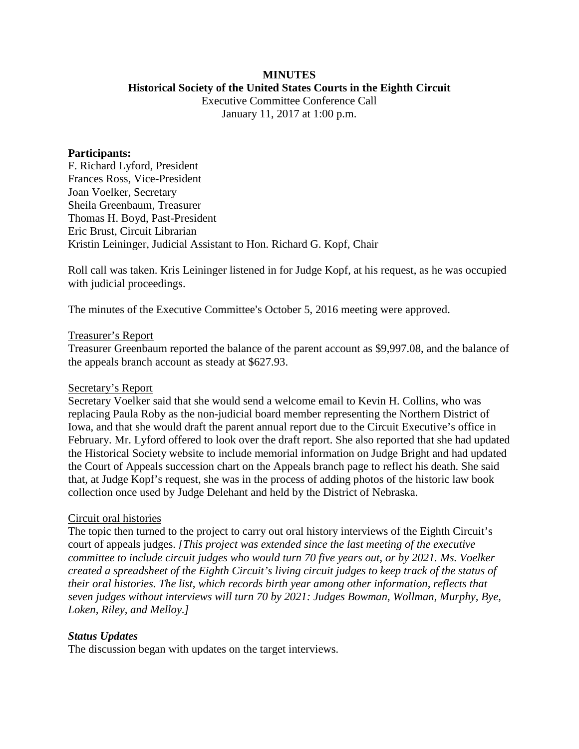# **MINUTES**

#### **Historical Society of the United States Courts in the Eighth Circuit**

Executive Committee Conference Call January 11, 2017 at 1:00 p.m.

#### **Participants:**

F. Richard Lyford, President Frances Ross, Vice-President Joan Voelker, Secretary Sheila Greenbaum, Treasurer Thomas H. Boyd, Past-President Eric Brust, Circuit Librarian Kristin Leininger, Judicial Assistant to Hon. Richard G. Kopf, Chair

Roll call was taken. Kris Leininger listened in for Judge Kopf, at his request, as he was occupied with judicial proceedings.

The minutes of the Executive Committee's October 5, 2016 meeting were approved.

### Treasurer's Report

Treasurer Greenbaum reported the balance of the parent account as \$9,997.08, and the balance of the appeals branch account as steady at \$627.93.

## Secretary's Report

Secretary Voelker said that she would send a welcome email to Kevin H. Collins, who was replacing Paula Roby as the non-judicial board member representing the Northern District of Iowa, and that she would draft the parent annual report due to the Circuit Executive's office in February. Mr. Lyford offered to look over the draft report. She also reported that she had updated the Historical Society website to include memorial information on Judge Bright and had updated the Court of Appeals succession chart on the Appeals branch page to reflect his death. She said that, at Judge Kopf's request, she was in the process of adding photos of the historic law book collection once used by Judge Delehant and held by the District of Nebraska.

## Circuit oral histories

The topic then turned to the project to carry out oral history interviews of the Eighth Circuit's court of appeals judges. *[This project was extended since the last meeting of the executive committee to include circuit judges who would turn 70 five years out, or by 2021. Ms. Voelker created a spreadsheet of the Eighth Circuit's living circuit judges to keep track of the status of their oral histories. The list, which records birth year among other information, reflects that seven judges without interviews will turn 70 by 2021: Judges Bowman, Wollman, Murphy, Bye, Loken, Riley, and Melloy.]*

## *Status Updates*

The discussion began with updates on the target interviews.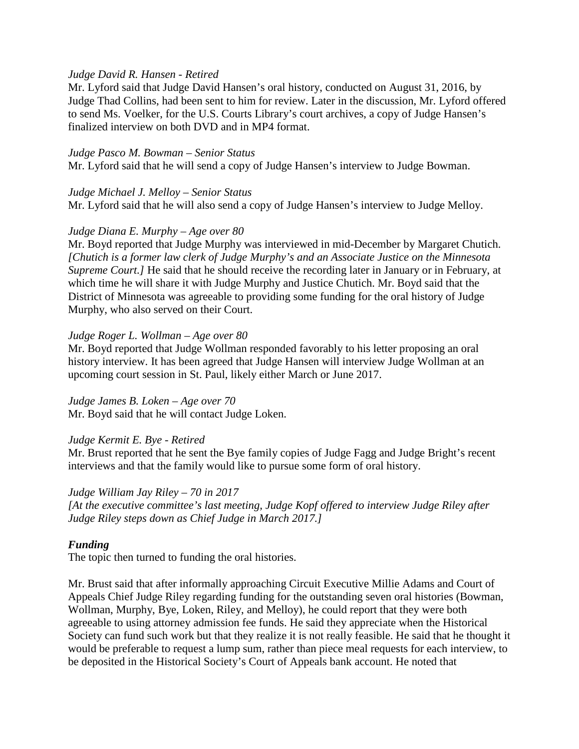## *Judge David R. Hansen - Retired*

Mr. Lyford said that Judge David Hansen's oral history, conducted on August 31, 2016, by Judge Thad Collins, had been sent to him for review. Later in the discussion, Mr. Lyford offered to send Ms. Voelker, for the U.S. Courts Library's court archives, a copy of Judge Hansen's finalized interview on both DVD and in MP4 format.

#### *Judge Pasco M. Bowman – Senior Status*

Mr. Lyford said that he will send a copy of Judge Hansen's interview to Judge Bowman.

### *Judge Michael J. Melloy – Senior Status*

Mr. Lyford said that he will also send a copy of Judge Hansen's interview to Judge Melloy.

## *Judge Diana E. Murphy – Age over 80*

Mr. Boyd reported that Judge Murphy was interviewed in mid-December by Margaret Chutich. *[Chutich is a former law clerk of Judge Murphy's and an Associate Justice on the Minnesota Supreme Court.]* He said that he should receive the recording later in January or in February, at which time he will share it with Judge Murphy and Justice Chutich. Mr. Boyd said that the District of Minnesota was agreeable to providing some funding for the oral history of Judge Murphy, who also served on their Court.

### *Judge Roger L. Wollman – Age over 80*

Mr. Boyd reported that Judge Wollman responded favorably to his letter proposing an oral history interview. It has been agreed that Judge Hansen will interview Judge Wollman at an upcoming court session in St. Paul, likely either March or June 2017.

## *Judge James B. Loken – Age over 70*

Mr. Boyd said that he will contact Judge Loken.

## *Judge Kermit E. Bye - Retired*

Mr. Brust reported that he sent the Bye family copies of Judge Fagg and Judge Bright's recent interviews and that the family would like to pursue some form of oral history.

## *Judge William Jay Riley – 70 in 2017*

*[At the executive committee's last meeting, Judge Kopf offered to interview Judge Riley after Judge Riley steps down as Chief Judge in March 2017.]*

## *Funding*

The topic then turned to funding the oral histories.

Mr. Brust said that after informally approaching Circuit Executive Millie Adams and Court of Appeals Chief Judge Riley regarding funding for the outstanding seven oral histories (Bowman, Wollman, Murphy, Bye, Loken, Riley, and Melloy), he could report that they were both agreeable to using attorney admission fee funds. He said they appreciate when the Historical Society can fund such work but that they realize it is not really feasible. He said that he thought it would be preferable to request a lump sum, rather than piece meal requests for each interview, to be deposited in the Historical Society's Court of Appeals bank account. He noted that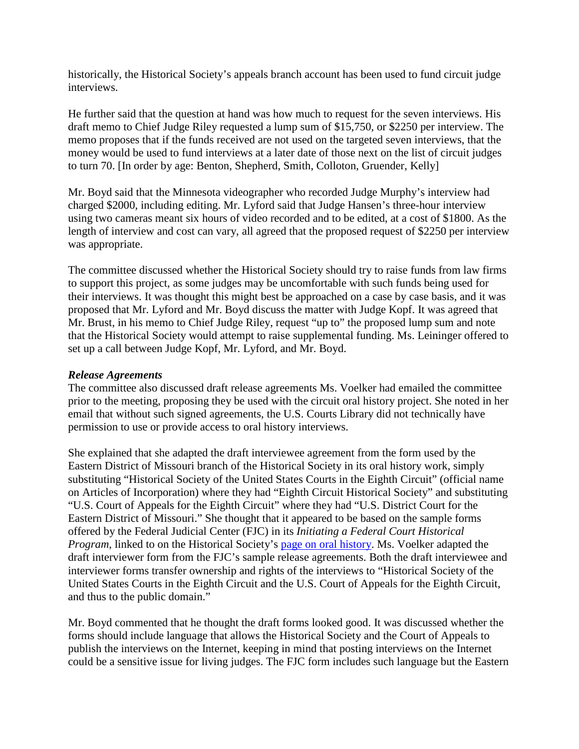historically, the Historical Society's appeals branch account has been used to fund circuit judge interviews.

He further said that the question at hand was how much to request for the seven interviews. His draft memo to Chief Judge Riley requested a lump sum of \$15,750, or \$2250 per interview. The memo proposes that if the funds received are not used on the targeted seven interviews, that the money would be used to fund interviews at a later date of those next on the list of circuit judges to turn 70. [In order by age: Benton, Shepherd, Smith, Colloton, Gruender, Kelly]

Mr. Boyd said that the Minnesota videographer who recorded Judge Murphy's interview had charged \$2000, including editing. Mr. Lyford said that Judge Hansen's three-hour interview using two cameras meant six hours of video recorded and to be edited, at a cost of \$1800. As the length of interview and cost can vary, all agreed that the proposed request of \$2250 per interview was appropriate.

The committee discussed whether the Historical Society should try to raise funds from law firms to support this project, as some judges may be uncomfortable with such funds being used for their interviews. It was thought this might best be approached on a case by case basis, and it was proposed that Mr. Lyford and Mr. Boyd discuss the matter with Judge Kopf. It was agreed that Mr. Brust, in his memo to Chief Judge Riley, request "up to" the proposed lump sum and note that the Historical Society would attempt to raise supplemental funding. Ms. Leininger offered to set up a call between Judge Kopf, Mr. Lyford, and Mr. Boyd.

### *Release Agreements*

The committee also discussed draft release agreements Ms. Voelker had emailed the committee prior to the meeting, proposing they be used with the circuit oral history project. She noted in her email that without such signed agreements, the U.S. Courts Library did not technically have permission to use or provide access to oral history interviews.

She explained that she adapted the draft interviewee agreement from the form used by the Eastern District of Missouri branch of the Historical Society in its oral history work, simply substituting "Historical Society of the United States Courts in the Eighth Circuit" (official name on Articles of Incorporation) where they had "Eighth Circuit Historical Society" and substituting "U.S. Court of Appeals for the Eighth Circuit" where they had "U.S. District Court for the Eastern District of Missouri." She thought that it appeared to be based on the sample forms offered by the Federal Judicial Center (FJC) in its *Initiating a Federal Court Historical Program*, linked to on the Historical Society's [page on oral history.](http://www.lb8.uscourts.gov/pubsandservices/histsociety/oral-history.html) Ms. Voelker adapted the draft interviewer form from the FJC's sample release agreements. Both the draft interviewee and interviewer forms transfer ownership and rights of the interviews to "Historical Society of the United States Courts in the Eighth Circuit and the U.S. Court of Appeals for the Eighth Circuit, and thus to the public domain."

Mr. Boyd commented that he thought the draft forms looked good. It was discussed whether the forms should include language that allows the Historical Society and the Court of Appeals to publish the interviews on the Internet, keeping in mind that posting interviews on the Internet could be a sensitive issue for living judges. The FJC form includes such language but the Eastern